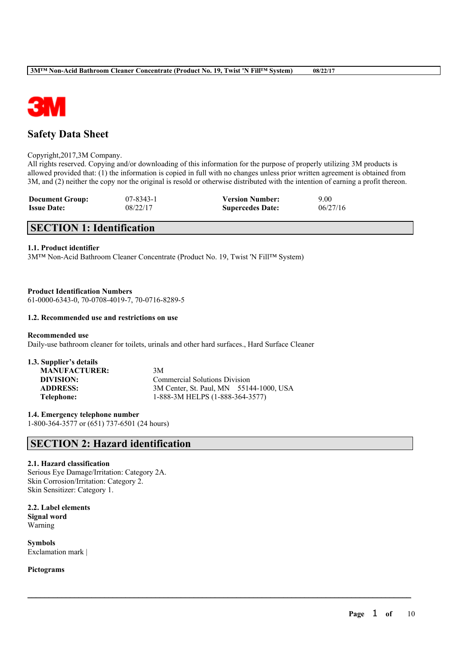

## **Safety Data Sheet**

#### Copyright,2017,3M Company.

All rights reserved. Copying and/or downloading of this information for the purpose of properly utilizing 3M products is allowed provided that: (1) the information is copied in full with no changes unless prior written agreement is obtained from 3M, and (2) neither the copy nor the original is resold or otherwise distributed with the intention of earning a profit thereon.

 $\mathcal{L}_\mathcal{L} = \mathcal{L}_\mathcal{L} = \mathcal{L}_\mathcal{L} = \mathcal{L}_\mathcal{L} = \mathcal{L}_\mathcal{L} = \mathcal{L}_\mathcal{L} = \mathcal{L}_\mathcal{L} = \mathcal{L}_\mathcal{L} = \mathcal{L}_\mathcal{L} = \mathcal{L}_\mathcal{L} = \mathcal{L}_\mathcal{L} = \mathcal{L}_\mathcal{L} = \mathcal{L}_\mathcal{L} = \mathcal{L}_\mathcal{L} = \mathcal{L}_\mathcal{L} = \mathcal{L}_\mathcal{L} = \mathcal{L}_\mathcal{L}$ 

| <b>Document Group:</b> | 07-8343-1 | <b>Version Number:</b>  | 9.00     |
|------------------------|-----------|-------------------------|----------|
| <b>Issue Date:</b>     | 08/22/17  | <b>Supercedes Date:</b> | 06/27/16 |

## **SECTION 1: Identification**

#### **1.1. Product identifier**

3M™ Non-Acid Bathroom Cleaner Concentrate (Product No. 19, Twist 'N Fill™ System)

#### **Product Identification Numbers**

61-0000-6343-0, 70-0708-4019-7, 70-0716-8289-5

#### **1.2. Recommended use and restrictions on use**

#### **Recommended use**

Daily-use bathroom cleaner for toilets, urinals and other hard surfaces., Hard Surface Cleaner

### **1.3. Supplier's details**

| <b>MANUFACTURER:</b> | 3M                                      |
|----------------------|-----------------------------------------|
| DIVISION:            | <b>Commercial Solutions Division</b>    |
| <b>ADDRESS:</b>      | 3M Center, St. Paul, MN 55144-1000, USA |
| Telephone:           | 1-888-3M HELPS (1-888-364-3577)         |

**1.4. Emergency telephone number** 1-800-364-3577 or (651) 737-6501 (24 hours)

## **SECTION 2: Hazard identification**

#### **2.1. Hazard classification**

Serious Eye Damage/Irritation: Category 2A. Skin Corrosion/Irritation: Category 2. Skin Sensitizer: Category 1.

**2.2. Label elements Signal word** Warning

**Symbols** Exclamation mark |

**Pictograms**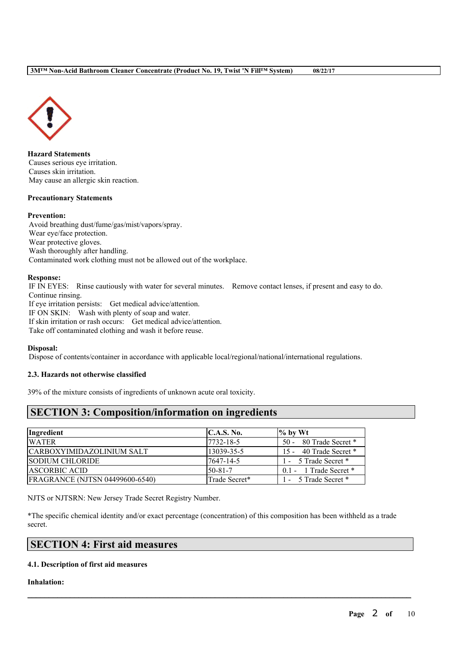

**Hazard Statements** Causes serious eye irritation. Causes skin irritation. May cause an allergic skin reaction.

#### **Precautionary Statements**

#### **Prevention:**

Avoid breathing dust/fume/gas/mist/vapors/spray. Wear eye/face protection. Wear protective gloves. Wash thoroughly after handling. Contaminated work clothing must not be allowed out of the workplace.

#### **Response:**

IF IN EYES: Rinse cautiously with water for several minutes. Remove contact lenses, if present and easy to do. Continue rinsing. If eye irritation persists: Get medical advice/attention. IF ON SKIN: Wash with plenty of soap and water. If skin irritation or rash occurs: Get medical advice/attention. Take off contaminated clothing and wash it before reuse.

#### **Disposal:**

Dispose of contents/container in accordance with applicable local/regional/national/international regulations.

#### **2.3. Hazards not otherwise classified**

39% of the mixture consists of ingredients of unknown acute oral toxicity.

## **SECTION 3: Composition/information on ingredients**

| Ingredient                             | C.A.S. No.     | $\frac{9}{6}$ by Wt        |
|----------------------------------------|----------------|----------------------------|
| <b>WATER</b>                           | 7732-18-5      | 50 - 80 Trade Secret *     |
| CARBOXYIMIDAZOLINIUM SALT              | 13039-35-5     | 15 - 40 Trade Secret *     |
| <b>SODIUM CHLORIDE</b>                 | 7647-14-5      | 1 - 5 Trade Secret *       |
| <b>ASCORBIC ACID</b>                   | $150 - 81 - 7$ | $0.1 - 1$ Trade Secret $*$ |
| <b>FRAGRANCE (NJTSN 04499600-6540)</b> | Trade Secret*  | 1 - 5 Trade Secret *       |

NJTS or NJTSRN: New Jersey Trade Secret Registry Number.

\*The specific chemical identity and/or exact percentage (concentration) of this composition has been withheld as a trade secret.

 $\mathcal{L}_\mathcal{L} = \mathcal{L}_\mathcal{L} = \mathcal{L}_\mathcal{L} = \mathcal{L}_\mathcal{L} = \mathcal{L}_\mathcal{L} = \mathcal{L}_\mathcal{L} = \mathcal{L}_\mathcal{L} = \mathcal{L}_\mathcal{L} = \mathcal{L}_\mathcal{L} = \mathcal{L}_\mathcal{L} = \mathcal{L}_\mathcal{L} = \mathcal{L}_\mathcal{L} = \mathcal{L}_\mathcal{L} = \mathcal{L}_\mathcal{L} = \mathcal{L}_\mathcal{L} = \mathcal{L}_\mathcal{L} = \mathcal{L}_\mathcal{L}$ 

## **SECTION 4: First aid measures**

#### **4.1. Description of first aid measures**

**Inhalation:**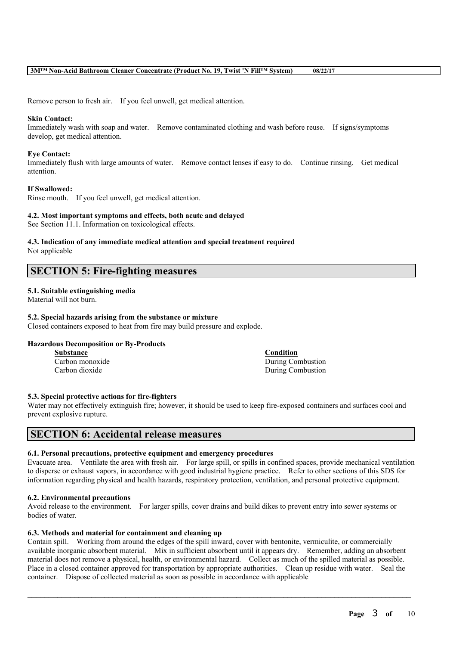Remove person to fresh air. If you feel unwell, get medical attention.

#### **Skin Contact:**

Immediately wash with soap and water. Remove contaminated clothing and wash before reuse. If signs/symptoms develop, get medical attention.

#### **Eye Contact:**

Immediately flush with large amounts of water. Remove contact lenses if easy to do. Continue rinsing. Get medical attention.

#### **If Swallowed:**

Rinse mouth. If you feel unwell, get medical attention.

#### **4.2. Most important symptoms and effects, both acute and delayed**

See Section 11.1. Information on toxicological effects.

# **4.3. Indication of any immediate medical attention and special treatment required**

Not applicable

### **SECTION 5: Fire-fighting measures**

#### **5.1. Suitable extinguishing media**

Material will not burn.

#### **5.2. Special hazards arising from the substance or mixture**

Closed containers exposed to heat from fire may build pressure and explode.

#### **Hazardous Decomposition or By-Products**

**Substance Condition**

Carbon monoxide During Combustion Carbon dioxide During Combustion

#### **5.3. Special protective actions for fire-fighters**

Water may not effectively extinguish fire; however, it should be used to keep fire-exposed containers and surfaces cool and prevent explosive rupture.

## **SECTION 6: Accidental release measures**

#### **6.1. Personal precautions, protective equipment and emergency procedures**

Evacuate area. Ventilate the area with fresh air. For large spill, or spills in confined spaces, provide mechanical ventilation to disperse or exhaust vapors, in accordance with good industrial hygiene practice. Refer to other sections of this SDS for information regarding physical and health hazards, respiratory protection, ventilation, and personal protective equipment.

#### **6.2. Environmental precautions**

Avoid release to the environment. For larger spills, cover drains and build dikes to prevent entry into sewer systems or bodies of water.

#### **6.3. Methods and material for containment and cleaning up**

Contain spill. Working from around the edges of the spill inward, cover with bentonite, vermiculite, or commercially available inorganic absorbent material. Mix in sufficient absorbent until it appears dry. Remember, adding an absorbent material does not remove a physical, health, or environmental hazard. Collect as much of the spilled material as possible. Place in a closed container approved for transportation by appropriate authorities. Clean up residue with water. Seal the container. Dispose of collected material as soon as possible in accordance with applicable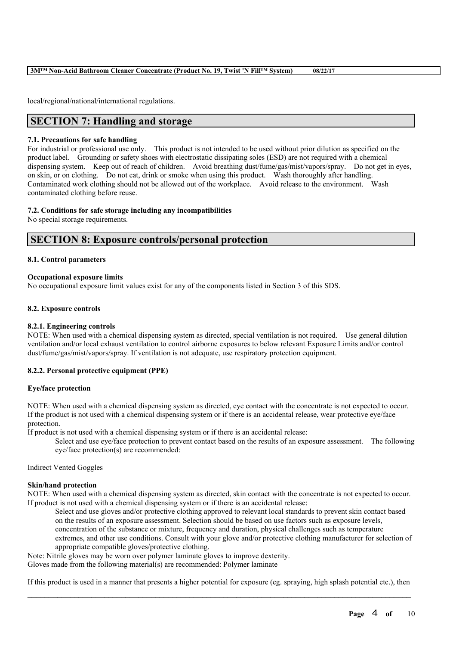local/regional/national/international regulations.

## **SECTION 7: Handling and storage**

#### **7.1. Precautions for safe handling**

For industrial or professional use only. This product is not intended to be used without prior dilution as specified on the product label. Grounding or safety shoes with electrostatic dissipating soles (ESD) are not required with a chemical dispensing system. Keep out of reach of children. Avoid breathing dust/fume/gas/mist/vapors/spray. Do not get in eyes, on skin, or on clothing. Do not eat, drink or smoke when using this product. Wash thoroughly after handling. Contaminated work clothing should not be allowed out of the workplace. Avoid release to the environment. Wash contaminated clothing before reuse.

#### **7.2. Conditions for safe storage including any incompatibilities**

No special storage requirements.

### **SECTION 8: Exposure controls/personal protection**

#### **8.1. Control parameters**

#### **Occupational exposure limits**

No occupational exposure limit values exist for any of the components listed in Section 3 of this SDS.

#### **8.2. Exposure controls**

#### **8.2.1. Engineering controls**

NOTE: When used with a chemical dispensing system as directed, special ventilation is not required. Use general dilution ventilation and/or local exhaust ventilation to control airborne exposures to below relevant Exposure Limits and/or control dust/fume/gas/mist/vapors/spray. If ventilation is not adequate, use respiratory protection equipment.

#### **8.2.2. Personal protective equipment (PPE)**

#### **Eye/face protection**

NOTE: When used with a chemical dispensing system as directed, eye contact with the concentrate is not expected to occur. If the product is not used with a chemical dispensing system or if there is an accidental release, wear protective eye/face protection.

If product is not used with a chemical dispensing system or if there is an accidental release:

Select and use eye/face protection to prevent contact based on the results of an exposure assessment. The following eye/face protection(s) are recommended:

Indirect Vented Goggles

#### **Skin/hand protection**

NOTE: When used with a chemical dispensing system as directed, skin contact with the concentrate is not expected to occur. If product is not used with a chemical dispensing system or if there is an accidental release:

Select and use gloves and/or protective clothing approved to relevant local standards to prevent skin contact based on the results of an exposure assessment. Selection should be based on use factors such as exposure levels, concentration of the substance or mixture, frequency and duration, physical challenges such as temperature extremes, and other use conditions. Consult with your glove and/or protective clothing manufacturer for selection of appropriate compatible gloves/protective clothing.

Note: Nitrile gloves may be worn over polymer laminate gloves to improve dexterity. Gloves made from the following material(s) are recommended: Polymer laminate

 $\mathcal{L}_\mathcal{L} = \mathcal{L}_\mathcal{L} = \mathcal{L}_\mathcal{L} = \mathcal{L}_\mathcal{L} = \mathcal{L}_\mathcal{L} = \mathcal{L}_\mathcal{L} = \mathcal{L}_\mathcal{L} = \mathcal{L}_\mathcal{L} = \mathcal{L}_\mathcal{L} = \mathcal{L}_\mathcal{L} = \mathcal{L}_\mathcal{L} = \mathcal{L}_\mathcal{L} = \mathcal{L}_\mathcal{L} = \mathcal{L}_\mathcal{L} = \mathcal{L}_\mathcal{L} = \mathcal{L}_\mathcal{L} = \mathcal{L}_\mathcal{L}$ If this product is used in a manner that presents a higher potential for exposure (eg. spraying, high splash potential etc.), then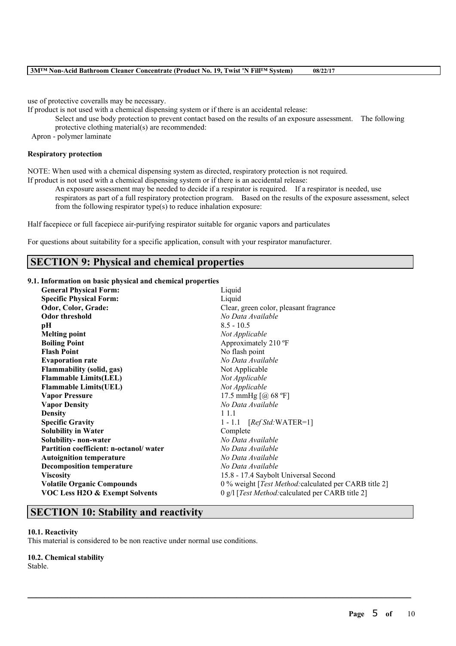use of protective coveralls may be necessary.

If product is not used with a chemical dispensing system or if there is an accidental release:

Select and use body protection to prevent contact based on the results of an exposure assessment. The following protective clothing material(s) are recommended:

Apron - polymer laminate

#### **Respiratory protection**

NOTE: When used with a chemical dispensing system as directed, respiratory protection is not required.

If product is not used with a chemical dispensing system or if there is an accidental release:

An exposure assessment may be needed to decide if a respirator is required. If a respirator is needed, use respirators as part of a full respiratory protection program. Based on the results of the exposure assessment, select from the following respirator type(s) to reduce inhalation exposure:

Half facepiece or full facepiece air-purifying respirator suitable for organic vapors and particulates

For questions about suitability for a specific application, consult with your respirator manufacturer.

### **SECTION 9: Physical and chemical properties**

#### **9.1. Information on basic physical and chemical properties**

| <b>General Physical Form:</b>             | Liquid                                                        |
|-------------------------------------------|---------------------------------------------------------------|
| <b>Specific Physical Form:</b>            | Liquid                                                        |
| Odor, Color, Grade:                       | Clear, green color, pleasant fragrance                        |
| <b>Odor threshold</b>                     | No Data Available                                             |
| pН                                        | $8.5 - 10.5$                                                  |
| <b>Melting point</b>                      | Not Applicable                                                |
| <b>Boiling Point</b>                      | Approximately 210 °F                                          |
| <b>Flash Point</b>                        | No flash point                                                |
| <b>Evaporation rate</b>                   | No Data Available                                             |
| <b>Flammability</b> (solid, gas)          | Not Applicable                                                |
| <b>Flammable Limits(LEL)</b>              | Not Applicable                                                |
| <b>Flammable Limits(UEL)</b>              | Not Applicable                                                |
| <b>Vapor Pressure</b>                     | 17.5 mmHg [@ 68 °F]                                           |
| <b>Vapor Density</b>                      | No Data Available                                             |
| <b>Density</b>                            | 1 1.1                                                         |
| <b>Specific Gravity</b>                   | $1 - 1.1$ [ <i>Ref Std</i> : WATER=1]                         |
| <b>Solubility in Water</b>                | Complete                                                      |
| Solubility- non-water                     | No Data Available                                             |
| Partition coefficient: n-octanol/water    | No Data Available                                             |
| <b>Autoignition temperature</b>           | No Data Available                                             |
| <b>Decomposition temperature</b>          | No Data Available                                             |
| <b>Viscosity</b>                          | 15.8 - 17.4 Saybolt Universal Second                          |
| <b>Volatile Organic Compounds</b>         | 0 % weight [ <i>Test Method:calculated per CARB title 2</i> ] |
| <b>VOC Less H2O &amp; Exempt Solvents</b> | 0 g/l [Test Method: calculated per CARB title 2]              |

 $\mathcal{L}_\mathcal{L} = \mathcal{L}_\mathcal{L} = \mathcal{L}_\mathcal{L} = \mathcal{L}_\mathcal{L} = \mathcal{L}_\mathcal{L} = \mathcal{L}_\mathcal{L} = \mathcal{L}_\mathcal{L} = \mathcal{L}_\mathcal{L} = \mathcal{L}_\mathcal{L} = \mathcal{L}_\mathcal{L} = \mathcal{L}_\mathcal{L} = \mathcal{L}_\mathcal{L} = \mathcal{L}_\mathcal{L} = \mathcal{L}_\mathcal{L} = \mathcal{L}_\mathcal{L} = \mathcal{L}_\mathcal{L} = \mathcal{L}_\mathcal{L}$ 

### **SECTION 10: Stability and reactivity**

#### **10.1. Reactivity**

This material is considered to be non reactive under normal use conditions.

## **10.2. Chemical stability**

Stable.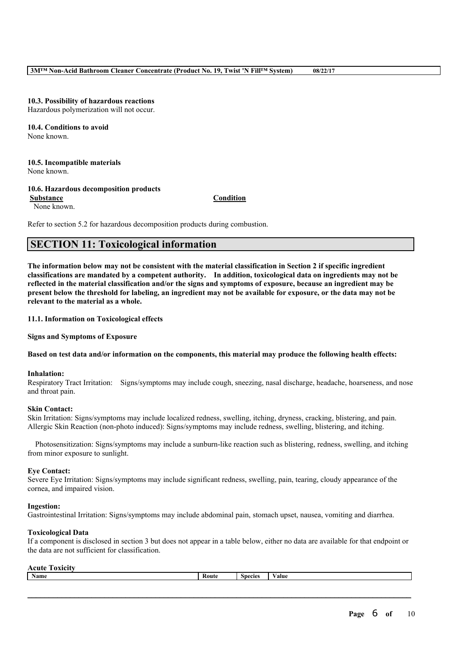#### **10.3. Possibility of hazardous reactions**

Hazardous polymerization will not occur.

#### **10.4. Conditions to avoid** None known.

## **10.5. Incompatible materials**

None known.

#### **10.6. Hazardous decomposition products**

**Substance Condition**

None known.

Refer to section 5.2 for hazardous decomposition products during combustion.

## **SECTION 11: Toxicological information**

The information below may not be consistent with the material classification in Section 2 if specific ingredient **classifications are mandated by a competent authority. In addition, toxicological data on ingredients may not be** reflected in the material classification and/or the signs and symptoms of exposure, because an ingredient may be present below the threshold for labeling, an ingredient may not be available for exposure, or the data may not be **relevant to the material as a whole.**

#### **11.1. Information on Toxicological effects**

**Signs and Symptoms of Exposure**

#### Based on test data and/or information on the components, this material may produce the following health effects:

#### **Inhalation:**

Respiratory Tract Irritation: Signs/symptoms may include cough, sneezing, nasal discharge, headache, hoarseness, and nose and throat pain.

#### **Skin Contact:**

Skin Irritation: Signs/symptoms may include localized redness, swelling, itching, dryness, cracking, blistering, and pain. Allergic Skin Reaction (non-photo induced): Signs/symptoms may include redness, swelling, blistering, and itching.

Photosensitization: Signs/symptoms may include a sunburn-like reaction such as blistering, redness, swelling, and itching from minor exposure to sunlight.

#### **Eye Contact:**

Severe Eye Irritation: Signs/symptoms may include significant redness, swelling, pain, tearing, cloudy appearance of the cornea, and impaired vision.

#### **Ingestion:**

Gastrointestinal Irritation: Signs/symptoms may include abdominal pain, stomach upset, nausea, vomiting and diarrhea.

#### **Toxicological Data**

If a component is disclosed in section 3 but does not appear in a table below, either no data are available for that endpoint or the data are not sufficient for classification.

#### **Acute Toxicity**

| Name | Route | <b>Species</b> | 'alue |
|------|-------|----------------|-------|
|      |       |                |       |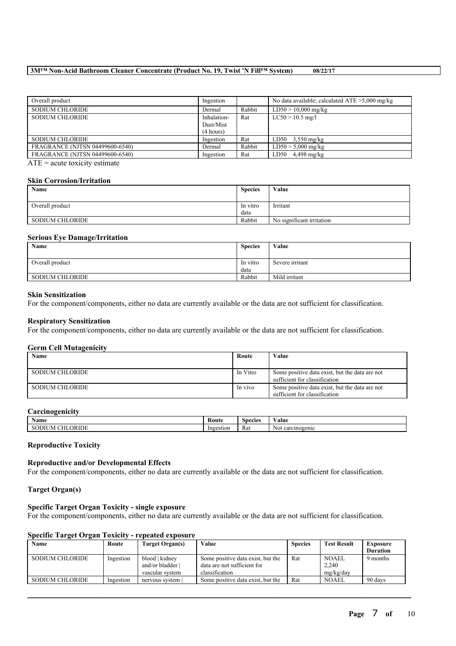| Ingestion                             |        | No data available; calculated $ATE > 5,000$ mg/kg |
|---------------------------------------|--------|---------------------------------------------------|
| Dermal                                | Rabbit | $LD50 > 10,000$ mg/kg                             |
| Inhalation-<br>Dust/Mist<br>(4 hours) | Rat    | $LC50 > 10.5$ mg/l                                |
| Ingestion                             | Rat    | $LD50$ 3,550 mg/kg                                |
| Dermal                                | Rabbit | $LD50 > 5,000$ mg/kg                              |
| Ingestion                             | Rat    | $LD50$ 4,498 mg/kg                                |
|                                       |        |                                                   |

 $ATE = acute$  toxicity estimate

#### **Skin Corrosion/Irritation**

| Name                   | <b>Species</b>   | Value                     |
|------------------------|------------------|---------------------------|
| Overall product        | In vitro<br>data | Irritant                  |
| <b>SODIUM CHLORIDE</b> | Rabbit           | No significant irritation |

#### **Serious Eye Damage/Irritation**

| Name                   | <b>Species</b>   | Value           |
|------------------------|------------------|-----------------|
| Overall product        | In vitro<br>data | Severe irritant |
| <b>SODIUM CHLORIDE</b> | Rabbit           | Mild irritant   |

#### **Skin Sensitization**

For the component/components, either no data are currently available or the data are not sufficient for classification.

## **Respiratory Sensitization**

For the component/components, either no data are currently available or the data are not sufficient for classification.

#### **Germ Cell Mutagenicity**

| . <b>. .</b> .<br>Name | Route    | Value                                                                           |
|------------------------|----------|---------------------------------------------------------------------------------|
| SODIUM CHLORIDE        | In Vitro | Some positive data exist, but the data are not<br>sufficient for classification |
| SODIUM CHLORIDE        | In vivo  | Some positive data exist, but the data are not<br>sufficient for classification |

#### **Carcinogenicity**

| -                           | Route     | Species | $-$                           |
|-----------------------------|-----------|---------|-------------------------------|
| Name                        | --- - - - |         | 'alue                         |
| ΩR<br>RIDE<br>J IVI.<br>3V. | Ingestion | Rat     | $\sim$<br>carcinogenic<br>NOL |

#### **Reproductive Toxicity**

#### **Reproductive and/or Developmental Effects**

For the component/components, either no data are currently available or the data are not sufficient for classification.

#### **Target Organ(s)**

#### **Specific Target Organ Toxicity - single exposure**

For the component/components, either no data are currently available or the data are not sufficient for classification.

#### **Specific Target Organ Toxicity - repeated exposure**

| Name                   | Route     | Target Organ(s) | Value                             | <b>Species</b> | <b>Test Result</b> | Exposure        |
|------------------------|-----------|-----------------|-----------------------------------|----------------|--------------------|-----------------|
|                        |           |                 |                                   |                |                    | <b>Duration</b> |
| SODIUM CHLORIDE        | Ingestion | blood   kidney  | Some positive data exist, but the | Rat            | <b>NOAEL</b>       | 9 months        |
|                        |           | and/or bladder  | data are not sufficient for       |                | 2,240              |                 |
|                        |           | vascular system | classification                    |                | mg/kg/day          |                 |
| <b>SODIUM CHLORIDE</b> | Ingestion | nervous system  | Some positive data exist, but the | Rat            | <b>NOAEL</b>       | 90 days         |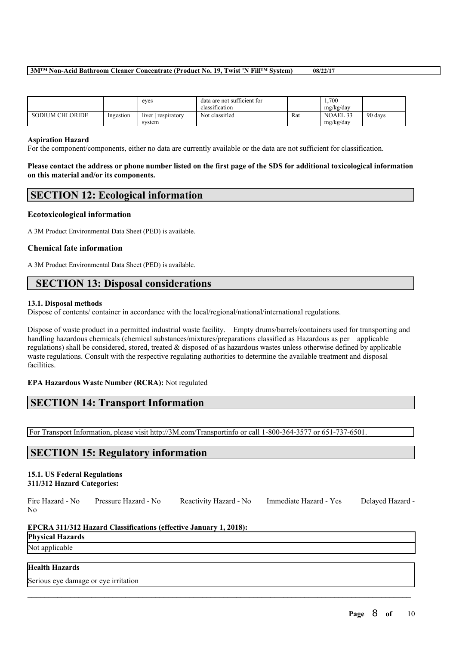|                        |           | eyes                          | data are not sufficient for<br>classification |     | 1.700<br>mg/kg/day    |         |
|------------------------|-----------|-------------------------------|-----------------------------------------------|-----|-----------------------|---------|
| <b>SODIUM CHLORIDE</b> | Ingestion | $liver$ respiratory<br>system | Not classified                                | Rat | NOAEL 33<br>mg/kg/day | 90 days |

#### **Aspiration Hazard**

For the component/components, either no data are currently available or the data are not sufficient for classification.

Please contact the address or phone number listed on the first page of the SDS for additional toxicological information **on this material and/or its components.**

### **SECTION 12: Ecological information**

#### **Ecotoxicological information**

A 3M Product Environmental Data Sheet (PED) is available.

#### **Chemical fate information**

A 3M Product Environmental Data Sheet (PED) is available.

## **SECTION 13: Disposal considerations**

#### **13.1. Disposal methods**

Dispose of contents/ container in accordance with the local/regional/national/international regulations.

Dispose of waste product in a permitted industrial waste facility. Empty drums/barrels/containers used for transporting and handling hazardous chemicals (chemical substances/mixtures/preparations classified as Hazardous as per applicable regulations) shall be considered, stored, treated & disposed of as hazardous wastes unless otherwise defined by applicable waste regulations. Consult with the respective regulating authorities to determine the available treatment and disposal facilities.

#### **EPA Hazardous Waste Number (RCRA):** Not regulated

## **SECTION 14: Transport Information**

For Transport Information, please visit http://3M.com/Transportinfo or call 1-800-364-3577 or 651-737-6501.

## **SECTION 15: Regulatory information**

## **15.1. US Federal Regulations**

## **311/312 Hazard Categories:**

Fire Hazard - No Pressure Hazard - No Reactivity Hazard - No Immediate Hazard - Yes Delayed Hazard - No

 $\mathcal{L}_\mathcal{L} = \mathcal{L}_\mathcal{L} = \mathcal{L}_\mathcal{L} = \mathcal{L}_\mathcal{L} = \mathcal{L}_\mathcal{L} = \mathcal{L}_\mathcal{L} = \mathcal{L}_\mathcal{L} = \mathcal{L}_\mathcal{L} = \mathcal{L}_\mathcal{L} = \mathcal{L}_\mathcal{L} = \mathcal{L}_\mathcal{L} = \mathcal{L}_\mathcal{L} = \mathcal{L}_\mathcal{L} = \mathcal{L}_\mathcal{L} = \mathcal{L}_\mathcal{L} = \mathcal{L}_\mathcal{L} = \mathcal{L}_\mathcal{L}$ 

#### **EPCRA 311/312 Hazard Classifications (effective January 1, 2018):**

**Physical Hazards**

## Not applicable

### **Health Hazards**

Serious eye damage or eye irritation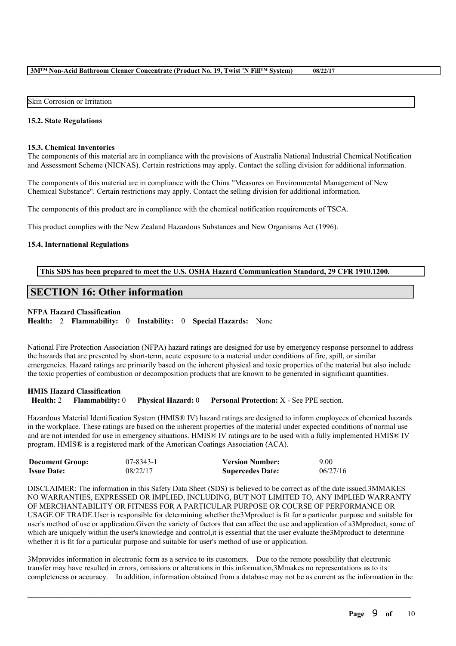#### Skin Corrosion or Irritation

#### **15.2. State Regulations**

#### **15.3. Chemical Inventories**

The components of this material are in compliance with the provisions of Australia National Industrial Chemical Notification and Assessment Scheme (NICNAS). Certain restrictions may apply. Contact the selling division for additional information.

The components of this material are in compliance with the China "Measures on Environmental Management of New Chemical Substance". Certain restrictions may apply. Contact the selling division for additional information.

The components of this product are in compliance with the chemical notification requirements of TSCA.

This product complies with the New Zealand Hazardous Substances and New Organisms Act (1996).

#### **15.4. International Regulations**

#### **This SDS has been prepared to meet the U.S. OSHA Hazard Communication Standard, 29 CFR 1910.1200.**

## **SECTION 16: Other information**

#### **NFPA Hazard Classification**

**Health:** 2 **Flammability:** 0 **Instability:** 0 **Special Hazards:** None

National Fire Protection Association (NFPA) hazard ratings are designed for use by emergency response personnel to address the hazards that are presented by short-term, acute exposure to a material under conditions of fire, spill, or similar emergencies. Hazard ratings are primarily based on the inherent physical and toxic properties of the material but also include the toxic properties of combustion or decomposition products that are known to be generated in significant quantities.

**HMIS Hazard Classification Health:** 2 **Flammability:** 0 **Physical Hazard:** 0 **Personal Protection:** X - See PPE section.

Hazardous Material Identification System (HMIS® IV) hazard ratings are designed to inform employees of chemical hazards in the workplace. These ratings are based on the inherent properties of the material under expected conditions of normal use and are not intended for use in emergency situations. HMIS® IV ratings are to be used with a fully implemented HMIS® IV program. HMIS® is a registered mark of the American Coatings Association (ACA).

| <b>Document Group:</b> | $07 - 8343 - 1$ | <b>Version Number:</b>  | 9.00     |
|------------------------|-----------------|-------------------------|----------|
| <b>Issue Date:</b>     | 08/22/17        | <b>Supercedes Date:</b> | 06/27/16 |

DISCLAIMER: The information in this Safety Data Sheet (SDS) is believed to be correct as of the date issued.3MMAKES NO WARRANTIES, EXPRESSED OR IMPLIED, INCLUDING, BUT NOT LIMITED TO, ANY IMPLIED WARRANTY OF MERCHANTABILITY OR FITNESS FOR A PARTICULAR PURPOSE OR COURSE OF PERFORMANCE OR USAGE OF TRADE.User is responsible for determining whether the3Mproduct is fit for a particular purpose and suitable for user's method of use or application.Given the variety of factors that can affect the use and application of a3Mproduct, some of which are uniquely within the user's knowledge and control, it is essential that the user evaluate the 3M product to determine whether it is fit for a particular purpose and suitable for user's method of use or application.

3Mprovides information in electronic form as a service to its customers. Due to the remote possibility that electronic transfer may have resulted in errors, omissions or alterations in this information,3Mmakes no representations as to its completeness or accuracy. In addition, information obtained from a database may not be as current as the information in the